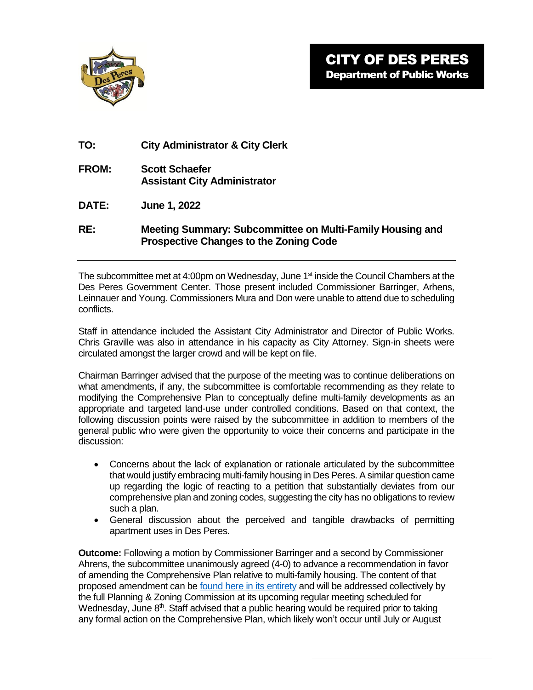

| TO: | <b>City Administrator &amp; City Clerk</b> |  |  |
|-----|--------------------------------------------|--|--|
|     |                                            |  |  |

- **FROM: Scott Schaefer Assistant City Administrator**
- **DATE: June 1, 2022**

## **RE: Meeting Summary: Subcommittee on Multi-Family Housing and Prospective Changes to the Zoning Code**

The subcommittee met at 4:00pm on Wednesday, June 1<sup>st</sup> inside the Council Chambers at the Des Peres Government Center. Those present included Commissioner Barringer, Arhens, Leinnauer and Young. Commissioners Mura and Don were unable to attend due to scheduling conflicts.

Staff in attendance included the Assistant City Administrator and Director of Public Works. Chris Graville was also in attendance in his capacity as City Attorney. Sign-in sheets were circulated amongst the larger crowd and will be kept on file.

Chairman Barringer advised that the purpose of the meeting was to continue deliberations on what amendments, if any, the subcommittee is comfortable recommending as they relate to modifying the Comprehensive Plan to conceptually define multi-family developments as an appropriate and targeted land-use under controlled conditions. Based on that context, the following discussion points were raised by the subcommittee in addition to members of the general public who were given the opportunity to voice their concerns and participate in the discussion:

- Concerns about the lack of explanation or rationale articulated by the subcommittee that would justify embracing multi-family housing in Des Peres. A similar question came up regarding the logic of reacting to a petition that substantially deviates from our comprehensive plan and zoning codes, suggesting the city has no obligations to review such a plan.
- General discussion about the perceived and tangible drawbacks of permitting apartment uses in Des Peres.

**Outcome:** Following a motion by Commissioner Barringer and a second by Commissioner Ahrens, the subcommittee unanimously agreed (4-0) to advance a recommendation in favor of amending the Comprehensive Plan relative to multi-family housing. The content of that proposed amendment can b[e found here in its entirety](https://www.desperesmo.org/DocumentCenter/View/22199/6122-Subcommitee-Packet) and will be addressed collectively by the full Planning & Zoning Commission at its upcoming regular meeting scheduled for Wednesday, June 8<sup>th</sup>. Staff advised that a public hearing would be required prior to taking any formal action on the Comprehensive Plan, which likely won't occur until July or August